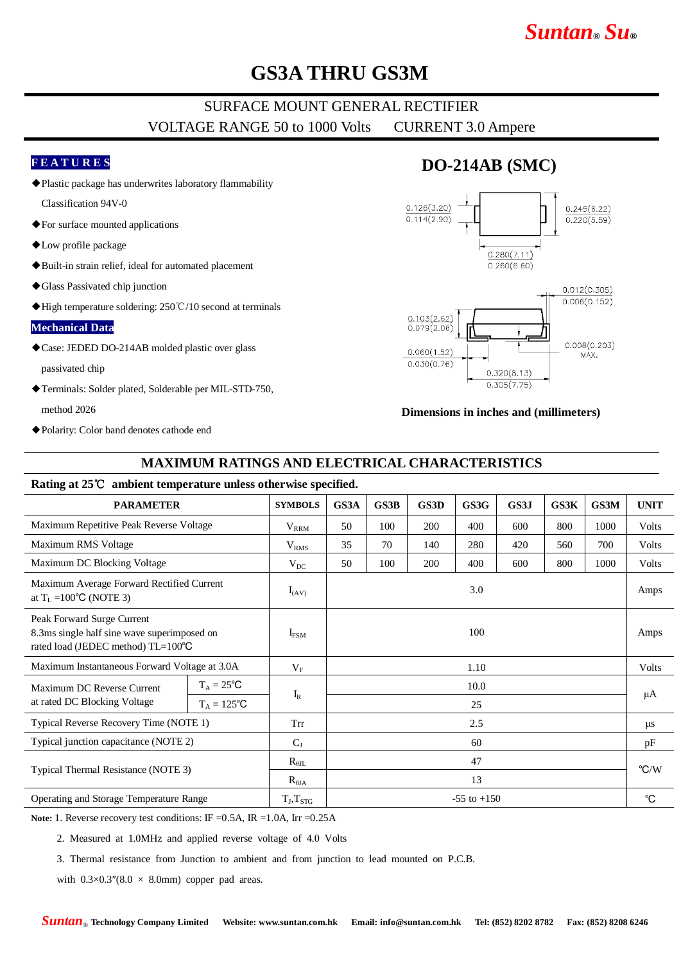# *Suntan***®** *Su***®**

# **GS3A THRU GS3M**

### SURFACE MOUNT GENERAL RECTIFIER VOLTAGE RANGE 50 to 1000 Volts CURRENT 3.0 Ampere

#### **F E A T U R E S**

◆Plastic package has underwrites laboratory flammability

Classification 94V-0

- ◆For surface mounted applications
- ◆Low profile package
- ◆Built-in strain relief, ideal for automated placement
- ◆Glass Passivated chip junction
- ◆High temperature soldering: 250℃/10 second at terminals

#### **Mechanical Data**

◆Case: JEDED DO-214AB molded plastic over glass

passivated chip

◆Terminals: Solder plated, Solderable per MIL-STD-750,

method 2026

◆Polarity: Color band denotes cathode end

### **DO-214AB (SMC)**



#### **Dimensions in inches and (millimeters)**

#### **MAXIMUM RATINGS AND ELECTRICAL CHARACTERISTICS**

#### **Rating at 25**℃ **ambient temperature unless otherwise specified.**

| <b>PARAMETER</b>                                                                                                |                     | <b>SYMBOLS</b>   | GS3A            | GS3B | GS3D | GS3G | GS3J | GS3K | GS3M | <b>UNIT</b>    |
|-----------------------------------------------------------------------------------------------------------------|---------------------|------------------|-----------------|------|------|------|------|------|------|----------------|
| Maximum Repetitive Peak Reverse Voltage                                                                         |                     | $V_{RRM}$        | 50              | 100  | 200  | 400  | 600  | 800  | 1000 | Volts          |
| Maximum RMS Voltage                                                                                             |                     | V <sub>RMS</sub> | 35              | 70   | 140  | 280  | 420  | 560  | 700  | Volts          |
| Maximum DC Blocking Voltage                                                                                     |                     | $V_{DC}$         | 50              | 100  | 200  | 400  | 600  | 800  | 1000 | Volts          |
| Maximum Average Forward Rectified Current<br>at $T_L = 100^{\circ}C$ (NOTE 3)                                   |                     | $I_{(AV)}$       | 3.0             |      |      |      |      |      |      | Amps           |
| Peak Forward Surge Current<br>8.3ms single half sine wave superimposed on<br>rated load (JEDEC method) TL=100°C |                     | $I_{FSM}$        | 100             |      |      |      |      |      |      | Amps           |
| Maximum Instantaneous Forward Voltage at 3.0A                                                                   |                     | $V_{\rm F}$      | 1.10            |      |      |      |      |      |      | Volts          |
| Maximum DC Reverse Current<br>at rated DC Blocking Voltage                                                      | $T_A = 25^{\circ}C$ | $I_R$            | 10.0            |      |      |      |      |      |      | μA             |
|                                                                                                                 | $T_A = 125$ °C      |                  | 25              |      |      |      |      |      |      |                |
| Typical Reverse Recovery Time (NOTE 1)                                                                          |                     | Trr              | 2.5             |      |      |      |      |      |      | $\mu$ s        |
| Typical junction capacitance (NOTE 2)                                                                           |                     | $C_{J}$          | 60              |      |      |      |      |      |      | pF             |
| Typical Thermal Resistance (NOTE 3)                                                                             |                     | $R_{\theta IL}$  | 47              |      |      |      |      |      |      | $\mathrm{C/W}$ |
|                                                                                                                 |                     | $R_{\theta JA}$  | 13              |      |      |      |      |      |      |                |
| Operating and Storage Temperature Range                                                                         |                     | $T_J, T_{STG}$   | $-55$ to $+150$ |      |      |      |      |      |      | $^{\circ}C$    |

Note: 1. Reverse recovery test conditions: IF = 0.5A, IR = 1.0A, Irr = 0.25A

2. Measured at 1.0MHz and applied reverse voltage of 4.0 Volts

3. Thermal resistance from Junction to ambient and from junction to lead mounted on P.C.B.

with  $0.3 \times 0.3$ " $(8.0 \times 8.0)$ mm) copper pad areas.